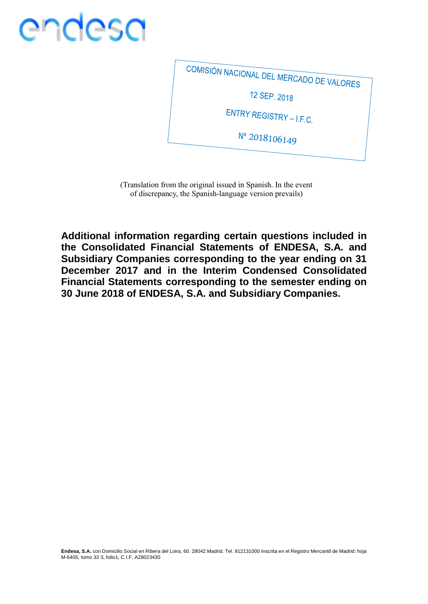COMISIÓN NACIONAL DEL MERCADO DE VALORES 12 SEP. 2018 ENTRY REGISTRY - I.F.C. Nº 2018106149

(Translation from the original issued in Spanish. In the event of discrepancy, the Spanish-language version prevails)

**Additional information regarding certain questions included in the Consolidated Financial Statements of ENDESA, S.A. and Subsidiary Companies corresponding to the year ending on 31 December 2017 and in the Interim Condensed Consolidated Financial Statements corresponding to the semester ending on 30 June 2018 of ENDESA, S.A. and Subsidiary Companies.**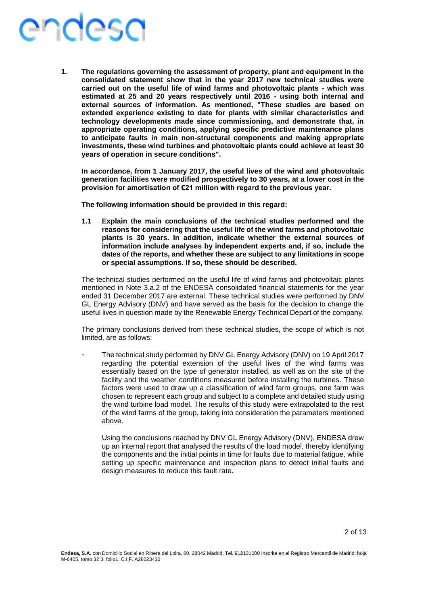**1. The regulations governing the assessment of property, plant and equipment in the consolidated statement show that in the year 2017 new technical studies were carried out on the useful life of wind farms and photovoltaic plants - which was estimated at 25 and 20 years respectively until 2016 - using both internal and external sources of information. As mentioned, "These studies are based on extended experience existing to date for plants with similar characteristics and technology developments made since commissioning, and demonstrate that, in appropriate operating conditions, applying specific predictive maintenance plans to anticipate faults in main non-structural components and making appropriate investments, these wind turbines and photovoltaic plants could achieve at least 30 years of operation in secure conditions".**

**In accordance, from 1 January 2017, the useful lives of the wind and photovoltaic generation facilities were modified prospectively to 30 years, at a lower cost in the provision for amortisation of €21 million with regard to the previous year.**

**The following information should be provided in this regard:**

**1.1 Explain the main conclusions of the technical studies performed and the reasons for considering that the useful life of the wind farms and photovoltaic plants is 30 years. In addition, indicate whether the external sources of information include analyses by independent experts and, if so, include the dates of the reports, and whether these are subject to any limitations in scope or special assumptions. If so, these should be described.**

The technical studies performed on the useful life of wind farms and photovoltaic plants mentioned in Note 3.a.2 of the ENDESA consolidated financial statements for the year ended 31 December 2017 are external. These technical studies were performed by DNV GL Energy Advisory (DNV) and have served as the basis for the decision to change the useful lives in question made by the Renewable Energy Technical Depart of the company.

The primary conclusions derived from these technical studies, the scope of which is not limited, are as follows:

The technical study performed by DNV GL Energy Advisory (DNV) on 19 April 2017 regarding the potential extension of the useful lives of the wind farms was essentially based on the type of generator installed, as well as on the site of the facility and the weather conditions measured before installing the turbines. These factors were used to draw up a classification of wind farm groups, one farm was chosen to represent each group and subject to a complete and detailed study using the wind turbine load model. The results of this study were extrapolated to the rest of the wind farms of the group, taking into consideration the parameters mentioned above.

Using the conclusions reached by DNV GL Energy Advisory (DNV), ENDESA drew up an internal report that analysed the results of the load model, thereby identifying the components and the initial points in time for faults due to material fatigue, while setting up specific maintenance and inspection plans to detect initial faults and design measures to reduce this fault rate.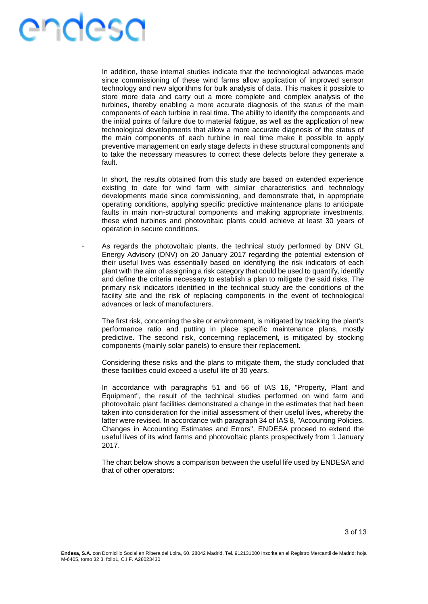In addition, these internal studies indicate that the technological advances made since commissioning of these wind farms allow application of improved sensor technology and new algorithms for bulk analysis of data. This makes it possible to store more data and carry out a more complete and complex analysis of the turbines, thereby enabling a more accurate diagnosis of the status of the main components of each turbine in real time. The ability to identify the components and the initial points of failure due to material fatigue, as well as the application of new technological developments that allow a more accurate diagnosis of the status of the main components of each turbine in real time make it possible to apply preventive management on early stage defects in these structural components and to take the necessary measures to correct these defects before they generate a fault.

In short, the results obtained from this study are based on extended experience existing to date for wind farm with similar characteristics and technology developments made since commissioning, and demonstrate that, in appropriate operating conditions, applying specific predictive maintenance plans to anticipate faults in main non-structural components and making appropriate investments, these wind turbines and photovoltaic plants could achieve at least 30 years of operation in secure conditions.

As regards the photovoltaic plants, the technical study performed by DNV GL Energy Advisory (DNV) on 20 January 2017 regarding the potential extension of their useful lives was essentially based on identifying the risk indicators of each plant with the aim of assigning a risk category that could be used to quantify, identify and define the criteria necessary to establish a plan to mitigate the said risks. The primary risk indicators identified in the technical study are the conditions of the facility site and the risk of replacing components in the event of technological advances or lack of manufacturers.

The first risk, concerning the site or environment, is mitigated by tracking the plant's performance ratio and putting in place specific maintenance plans, mostly predictive. The second risk, concerning replacement, is mitigated by stocking components (mainly solar panels) to ensure their replacement.

Considering these risks and the plans to mitigate them, the study concluded that these facilities could exceed a useful life of 30 years.

In accordance with paragraphs 51 and 56 of IAS 16, "Property, Plant and Equipment", the result of the technical studies performed on wind farm and photovoltaic plant facilities demonstrated a change in the estimates that had been taken into consideration for the initial assessment of their useful lives, whereby the latter were revised. In accordance with paragraph 34 of IAS 8, "Accounting Policies, Changes in Accounting Estimates and Errors", ENDESA proceed to extend the useful lives of its wind farms and photovoltaic plants prospectively from 1 January 2017.

The chart below shows a comparison between the useful life used by ENDESA and that of other operators: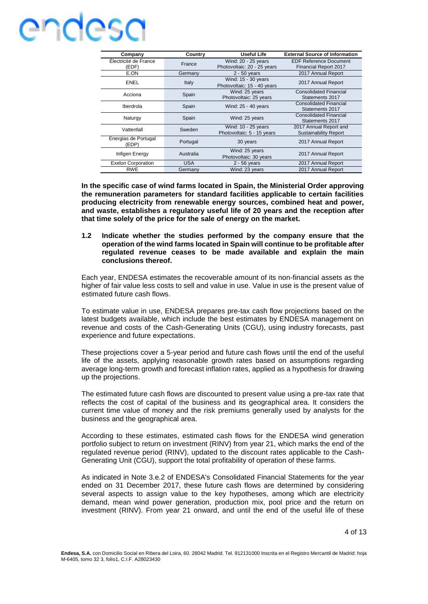| Company                        | Country    | Useful Life                                        | <b>External Source of Information</b>                         |
|--------------------------------|------------|----------------------------------------------------|---------------------------------------------------------------|
| Électricité de France<br>(EDF) | France     | Wind: 20 - 25 years<br>Photovoltaic: 20 - 25 years | <b>EDF Reference Document</b><br><b>Financial Report 2017</b> |
| E.ON                           | Germany    | $2 - 50$ years                                     | 2017 Annual Report                                            |
| <b>ENEL</b>                    | Italy      | Wind: 15 - 30 years<br>Photovoltaic: 15 - 40 years | 2017 Annual Report                                            |
| Acciona                        | Spain      | Wind: 25 years<br>Photovoltaic: 25 years           | <b>Consolidated Financial</b><br>Statements 2017              |
| Iberdrola                      | Spain      | Wind: 25 - 40 years                                | <b>Consolidated Financial</b><br>Statements 2017              |
| Naturgy                        | Spain      | Wind: 25 years                                     | <b>Consolidated Financial</b><br>Statements 2017              |
| Vattenfall                     | Sweden     | Wind: 10 - 25 years<br>Photovoltaic: 5 - 15 years  | 2017 Annual Report and<br><b>Sustainability Report</b>        |
| Energias de Portugal<br>(EDP)  | Portugal   | 30 years                                           | 2017 Annual Report                                            |
| Infigen Energy                 | Australia  | Wind: 25 years<br>Photovoltaic: 30 years           | 2017 Annual Report                                            |
| <b>Exelon Corporation</b>      | <b>USA</b> | $2 - 56$ years                                     | 2017 Annual Report                                            |
| <b>RWE</b>                     | Germany    | Wind: 23 years                                     | 2017 Annual Report                                            |

**In the specific case of wind farms located in Spain, the Ministerial Order approving the remuneration parameters for standard facilities applicable to certain facilities producing electricity from renewable energy sources, combined heat and power, and waste, establishes a regulatory useful life of 20 years and the reception after that time solely of the price for the sale of energy on the market.**

**1.2 Indicate whether the studies performed by the company ensure that the operation of the wind farms located in Spain will continue to be profitable after regulated revenue ceases to be made available and explain the main conclusions thereof.**

Each year, ENDESA estimates the recoverable amount of its non-financial assets as the higher of fair value less costs to sell and value in use. Value in use is the present value of estimated future cash flows.

To estimate value in use, ENDESA prepares pre-tax cash flow projections based on the latest budgets available, which include the best estimates by ENDESA management on revenue and costs of the Cash-Generating Units (CGU), using industry forecasts, past experience and future expectations.

These projections cover a 5-year period and future cash flows until the end of the useful life of the assets, applying reasonable growth rates based on assumptions regarding average long-term growth and forecast inflation rates, applied as a hypothesis for drawing up the projections.

The estimated future cash flows are discounted to present value using a pre-tax rate that reflects the cost of capital of the business and its geographical area. It considers the current time value of money and the risk premiums generally used by analysts for the business and the geographical area.

According to these estimates, estimated cash flows for the ENDESA wind generation portfolio subject to return on investment (RINV) from year 21, which marks the end of the regulated revenue period (RINV), updated to the discount rates applicable to the Cash-Generating Unit (CGU), support the total profitability of operation of these farms.

As indicated in Note 3.e.2 of ENDESA's Consolidated Financial Statements for the year ended on 31 December 2017, these future cash flows are determined by considering several aspects to assign value to the key hypotheses, among which are electricity demand, mean wind power generation, production mix, pool price and the return on investment (RINV). From year 21 onward, and until the end of the useful life of these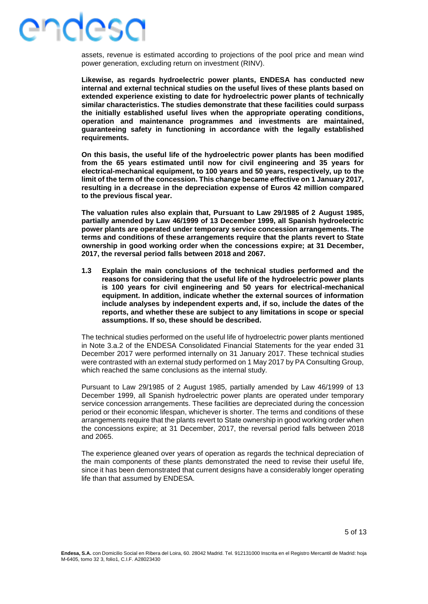### ANUASA

assets, revenue is estimated according to projections of the pool price and mean wind power generation, excluding return on investment (RINV).

**Likewise, as regards hydroelectric power plants, ENDESA has conducted new internal and external technical studies on the useful lives of these plants based on extended experience existing to date for hydroelectric power plants of technically similar characteristics. The studies demonstrate that these facilities could surpass the initially established useful lives when the appropriate operating conditions, operation and maintenance programmes and investments are maintained, guaranteeing safety in functioning in accordance with the legally established requirements.**

**On this basis, the useful life of the hydroelectric power plants has been modified from the 65 years estimated until now for civil engineering and 35 years for electrical-mechanical equipment, to 100 years and 50 years, respectively, up to the limit of the term of the concession. This change became effective on 1 January 2017, resulting in a decrease in the depreciation expense of Euros 42 million compared to the previous fiscal year.** 

**The valuation rules also explain that, Pursuant to Law 29/1985 of 2 August 1985, partially amended by Law 46/1999 of 13 December 1999, all Spanish hydroelectric power plants are operated under temporary service concession arrangements. The terms and conditions of these arrangements require that the plants revert to State ownership in good working order when the concessions expire; at 31 December, 2017, the reversal period falls between 2018 and 2067.**

**1.3 Explain the main conclusions of the technical studies performed and the reasons for considering that the useful life of the hydroelectric power plants is 100 years for civil engineering and 50 years for electrical-mechanical equipment. In addition, indicate whether the external sources of information include analyses by independent experts and, if so, include the dates of the reports, and whether these are subject to any limitations in scope or special assumptions. If so, these should be described.** 

The technical studies performed on the useful life of hydroelectric power plants mentioned in Note 3.a.2 of the ENDESA Consolidated Financial Statements for the year ended 31 December 2017 were performed internally on 31 January 2017. These technical studies were contrasted with an external study performed on 1 May 2017 by PA Consulting Group, which reached the same conclusions as the internal study.

Pursuant to Law 29/1985 of 2 August 1985, partially amended by Law 46/1999 of 13 December 1999, all Spanish hydroelectric power plants are operated under temporary service concession arrangements. These facilities are depreciated during the concession period or their economic lifespan, whichever is shorter. The terms and conditions of these arrangements require that the plants revert to State ownership in good working order when the concessions expire; at 31 December, 2017, the reversal period falls between 2018 and 2065.

The experience gleaned over years of operation as regards the technical depreciation of the main components of these plants demonstrated the need to revise their useful life, since it has been demonstrated that current designs have a considerably longer operating life than that assumed by ENDESA.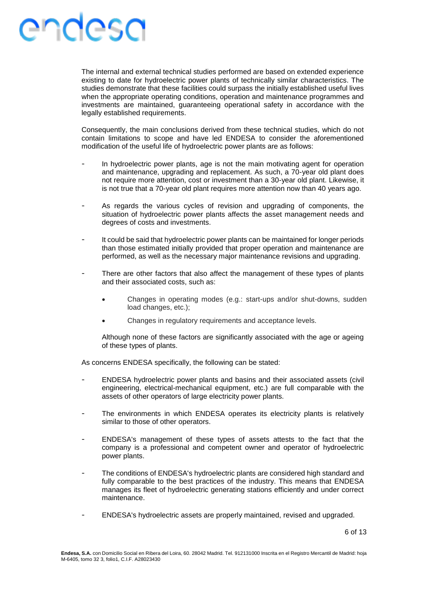The internal and external technical studies performed are based on extended experience existing to date for hydroelectric power plants of technically similar characteristics. The studies demonstrate that these facilities could surpass the initially established useful lives when the appropriate operating conditions, operation and maintenance programmes and investments are maintained, guaranteeing operational safety in accordance with the legally established requirements.

Consequently, the main conclusions derived from these technical studies, which do not contain limitations to scope and have led ENDESA to consider the aforementioned modification of the useful life of hydroelectric power plants are as follows:

- In hydroelectric power plants, age is not the main motivating agent for operation and maintenance, upgrading and replacement. As such, a 70-year old plant does not require more attention, cost or investment than a 30-year old plant. Likewise, it is not true that a 70-year old plant requires more attention now than 40 years ago.
- As regards the various cycles of revision and upgrading of components, the situation of hydroelectric power plants affects the asset management needs and degrees of costs and investments.
- It could be said that hydroelectric power plants can be maintained for longer periods than those estimated initially provided that proper operation and maintenance are performed, as well as the necessary major maintenance revisions and upgrading.
- There are other factors that also affect the management of these types of plants and their associated costs, such as:
	- Changes in operating modes (e.g.: start-ups and/or shut-downs, sudden load changes, etc.);
	- Changes in regulatory requirements and acceptance levels.

Although none of these factors are significantly associated with the age or ageing of these types of plants.

As concerns ENDESA specifically, the following can be stated:

- ENDESA hydroelectric power plants and basins and their associated assets (civil engineering, electrical-mechanical equipment, etc.) are full comparable with the assets of other operators of large electricity power plants.
- The environments in which ENDESA operates its electricity plants is relatively similar to those of other operators.
- ENDESA's management of these types of assets attests to the fact that the company is a professional and competent owner and operator of hydroelectric power plants.
- The conditions of ENDESA's hydroelectric plants are considered high standard and fully comparable to the best practices of the industry. This means that ENDESA manages its fleet of hydroelectric generating stations efficiently and under correct maintenance.
- ENDESA's hydroelectric assets are properly maintained, revised and upgraded.

6 of 13

**Endesa, S.A.** con Domicilio Social en Ribera del Loira, 60. 28042 Madrid. Tel. 912131000 Inscrita en el Registro Mercantil de Madrid: hoja M-6405, tomo 32 3, folio1, C.I.F. A28023430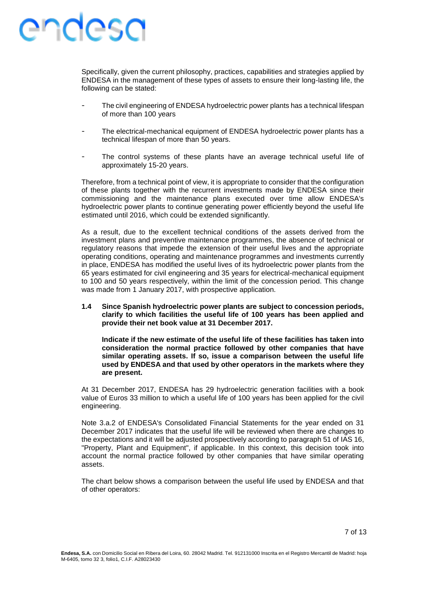Specifically, given the current philosophy, practices, capabilities and strategies applied by ENDESA in the management of these types of assets to ensure their long-lasting life, the following can be stated:

- The civil engineering of ENDESA hydroelectric power plants has a technical lifespan of more than 100 years
- The electrical-mechanical equipment of ENDESA hydroelectric power plants has a technical lifespan of more than 50 years.
- The control systems of these plants have an average technical useful life of approximately 15-20 years.

Therefore, from a technical point of view, it is appropriate to consider that the configuration of these plants together with the recurrent investments made by ENDESA since their commissioning and the maintenance plans executed over time allow ENDESA's hydroelectric power plants to continue generating power efficiently beyond the useful life estimated until 2016, which could be extended significantly.

As a result, due to the excellent technical conditions of the assets derived from the investment plans and preventive maintenance programmes, the absence of technical or regulatory reasons that impede the extension of their useful lives and the appropriate operating conditions, operating and maintenance programmes and investments currently in place, ENDESA has modified the useful lives of its hydroelectric power plants from the 65 years estimated for civil engineering and 35 years for electrical-mechanical equipment to 100 and 50 years respectively, within the limit of the concession period. This change was made from 1 January 2017, with prospective application.

**1.4 Since Spanish hydroelectric power plants are subject to concession periods, clarify to which facilities the useful life of 100 years has been applied and provide their net book value at 31 December 2017.**

**Indicate if the new estimate of the useful life of these facilities has taken into consideration the normal practice followed by other companies that have similar operating assets. If so, issue a comparison between the useful life used by ENDESA and that used by other operators in the markets where they are present.** 

At 31 December 2017, ENDESA has 29 hydroelectric generation facilities with a book value of Euros 33 million to which a useful life of 100 years has been applied for the civil engineering.

Note 3.a.2 of ENDESA's Consolidated Financial Statements for the year ended on 31 December 2017 indicates that the useful life will be reviewed when there are changes to the expectations and it will be adjusted prospectively according to paragraph 51 of IAS 16, "Property, Plant and Equipment", if applicable. In this context, this decision took into account the normal practice followed by other companies that have similar operating assets.

The chart below shows a comparison between the useful life used by ENDESA and that of other operators: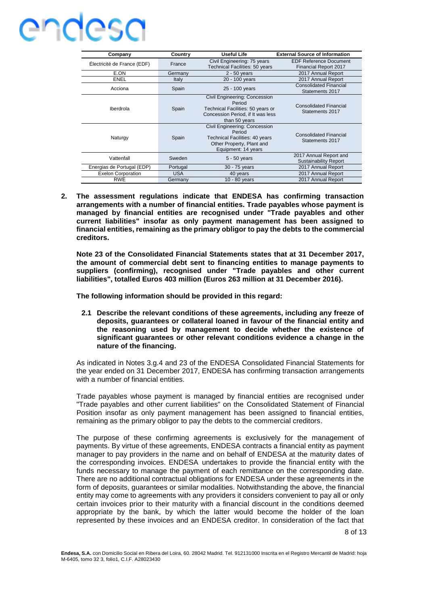| Company                     | Country    | <b>Useful Life</b>                                                                                                                   | <b>External Source of Information</b>                         |
|-----------------------------|------------|--------------------------------------------------------------------------------------------------------------------------------------|---------------------------------------------------------------|
| Électricité de France (EDF) | France     | Civil Engineering: 75 years<br>Technical Facilities: 50 years                                                                        | <b>EDF Reference Document</b><br><b>Financial Report 2017</b> |
| E.ON                        | Germany    | $2 - 50$ years                                                                                                                       | 2017 Annual Report                                            |
| <b>ENEL</b>                 | Italy      | 20 - 100 years                                                                                                                       | 2017 Annual Report                                            |
| Acciona                     | Spain      | 25 - 100 years                                                                                                                       | <b>Consolidated Financial</b><br>Statements 2017              |
| Iberdrola                   | Spain      | Civil Engineering: Concession<br>Period<br>Technical Facilities: 50 years or<br>Concession Period, if It was less<br>than 50 years   | <b>Consolidated Financial</b><br>Statements 2017              |
| Naturgy                     | Spain      | Civil Engineering: Concession<br>Period<br><b>Technical Facilities: 40 years</b><br>Other Property, Plant and<br>Equipment: 14 years | <b>Consolidated Financial</b><br>Statements 2017              |
| Vattenfall                  | Sweden     | $5 - 50$ years                                                                                                                       | 2017 Annual Report and<br><b>Sustainability Report</b>        |
| Energias de Portugal (EDP)  | Portugal   | 30 - 75 years                                                                                                                        | 2017 Annual Report                                            |
| <b>Exelon Corporation</b>   | <b>USA</b> | 40 years                                                                                                                             | 2017 Annual Report                                            |
| <b>RWE</b>                  | Germany    | $10 - 80$ years                                                                                                                      | 2017 Annual Report                                            |

**2. The assessment regulations indicate that ENDESA has confirming transaction arrangements with a number of financial entities. Trade payables whose payment is managed by financial entities are recognised under "Trade payables and other current liabilities" insofar as only payment management has been assigned to financial entities, remaining as the primary obligor to pay the debts to the commercial creditors.**

**Note 23 of the Consolidated Financial Statements states that at 31 December 2017, the amount of commercial debt sent to financing entities to manage payments to suppliers (confirming), recognised under "Trade payables and other current liabilities", totalled Euros 403 million (Euros 263 million at 31 December 2016).**

**The following information should be provided in this regard:**

**2.1 Describe the relevant conditions of these agreements, including any freeze of deposits, guarantees or collateral loaned in favour of the financial entity and the reasoning used by management to decide whether the existence of significant guarantees or other relevant conditions evidence a change in the nature of the financing.**

As indicated in Notes 3.g.4 and 23 of the ENDESA Consolidated Financial Statements for the year ended on 31 December 2017, ENDESA has confirming transaction arrangements with a number of financial entities.

Trade payables whose payment is managed by financial entities are recognised under "Trade payables and other current liabilities" on the Consolidated Statement of Financial Position insofar as only payment management has been assigned to financial entities, remaining as the primary obligor to pay the debts to the commercial creditors.

The purpose of these confirming agreements is exclusively for the management of payments. By virtue of these agreements, ENDESA contracts a financial entity as payment manager to pay providers in the name and on behalf of ENDESA at the maturity dates of the corresponding invoices. ENDESA undertakes to provide the financial entity with the funds necessary to manage the payment of each remittance on the corresponding date. There are no additional contractual obligations for ENDESA under these agreements in the form of deposits, guarantees or similar modalities. Notwithstanding the above, the financial entity may come to agreements with any providers it considers convenient to pay all or only certain invoices prior to their maturity with a financial discount in the conditions deemed appropriate by the bank, by which the latter would become the holder of the loan represented by these invoices and an ENDESA creditor. In consideration of the fact that

8 of 13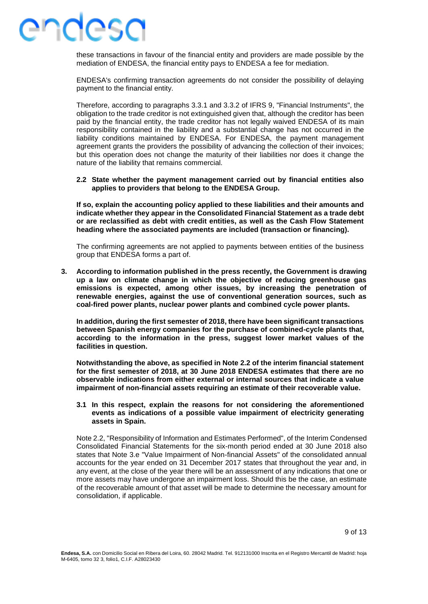### IASA

these transactions in favour of the financial entity and providers are made possible by the mediation of ENDESA, the financial entity pays to ENDESA a fee for mediation.

ENDESA's confirming transaction agreements do not consider the possibility of delaying payment to the financial entity.

Therefore, according to paragraphs 3.3.1 and 3.3.2 of IFRS 9, "Financial Instruments", the obligation to the trade creditor is not extinguished given that, although the creditor has been paid by the financial entity, the trade creditor has not legally waived ENDESA of its main responsibility contained in the liability and a substantial change has not occurred in the liability conditions maintained by ENDESA. For ENDESA, the payment management agreement grants the providers the possibility of advancing the collection of their invoices; but this operation does not change the maturity of their liabilities nor does it change the nature of the liability that remains commercial.

#### **2.2 State whether the payment management carried out by financial entities also applies to providers that belong to the ENDESA Group.**

**If so, explain the accounting policy applied to these liabilities and their amounts and indicate whether they appear in the Consolidated Financial Statement as a trade debt or are reclassified as debt with credit entities, as well as the Cash Flow Statement heading where the associated payments are included (transaction or financing).**

The confirming agreements are not applied to payments between entities of the business group that ENDESA forms a part of.

**3. According to information published in the press recently, the Government is drawing up a law on climate change in which the objective of reducing greenhouse gas emissions is expected, among other issues, by increasing the penetration of renewable energies, against the use of conventional generation sources, such as coal-fired power plants, nuclear power plants and combined cycle power plants.**

**In addition, during the first semester of 2018, there have been significant transactions between Spanish energy companies for the purchase of combined-cycle plants that, according to the information in the press, suggest lower market values of the facilities in question.**

**Notwithstanding the above, as specified in Note 2.2 of the interim financial statement for the first semester of 2018, at 30 June 2018 ENDESA estimates that there are no observable indications from either external or internal sources that indicate a value impairment of non-financial assets requiring an estimate of their recoverable value.**

#### **3.1 In this respect, explain the reasons for not considering the aforementioned events as indications of a possible value impairment of electricity generating assets in Spain.**

Note 2.2, "Responsibility of Information and Estimates Performed", of the Interim Condensed Consolidated Financial Statements for the six-month period ended at 30 June 2018 also states that Note 3.e "Value Impairment of Non-financial Assets" of the consolidated annual accounts for the year ended on 31 December 2017 states that throughout the year and, in any event, at the close of the year there will be an assessment of any indications that one or more assets may have undergone an impairment loss. Should this be the case, an estimate of the recoverable amount of that asset will be made to determine the necessary amount for consolidation, if applicable.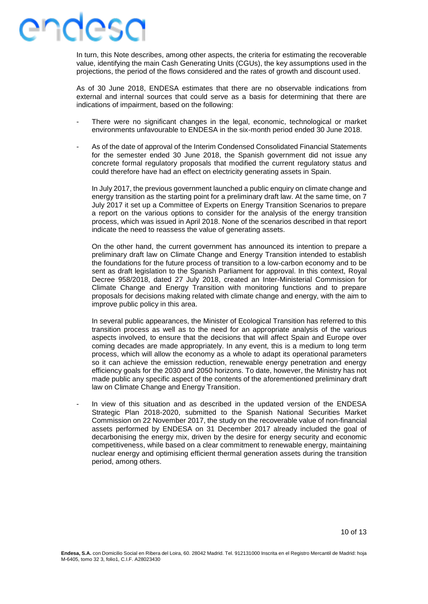#### ANUASU

In turn, this Note describes, among other aspects, the criteria for estimating the recoverable value, identifying the main Cash Generating Units (CGUs), the key assumptions used in the projections, the period of the flows considered and the rates of growth and discount used.

As of 30 June 2018, ENDESA estimates that there are no observable indications from external and internal sources that could serve as a basis for determining that there are indications of impairment, based on the following:

- There were no significant changes in the legal, economic, technological or market environments unfavourable to ENDESA in the six-month period ended 30 June 2018.
- As of the date of approval of the Interim Condensed Consolidated Financial Statements for the semester ended 30 June 2018, the Spanish government did not issue any concrete formal regulatory proposals that modified the current regulatory status and could therefore have had an effect on electricity generating assets in Spain.

In July 2017, the previous government launched a public enquiry on climate change and energy transition as the starting point for a preliminary draft law. At the same time, on 7 July 2017 it set up a Committee of Experts on Energy Transition Scenarios to prepare a report on the various options to consider for the analysis of the energy transition process, which was issued in April 2018. None of the scenarios described in that report indicate the need to reassess the value of generating assets.

On the other hand, the current government has announced its intention to prepare a preliminary draft law on Climate Change and Energy Transition intended to establish the foundations for the future process of transition to a low-carbon economy and to be sent as draft legislation to the Spanish Parliament for approval. In this context, Royal Decree 958/2018, dated 27 July 2018, created an Inter-Ministerial Commission for Climate Change and Energy Transition with monitoring functions and to prepare proposals for decisions making related with climate change and energy, with the aim to improve public policy in this area.

In several public appearances, the Minister of Ecological Transition has referred to this transition process as well as to the need for an appropriate analysis of the various aspects involved, to ensure that the decisions that will affect Spain and Europe over coming decades are made appropriately. In any event, this is a medium to long term process, which will allow the economy as a whole to adapt its operational parameters so it can achieve the emission reduction, renewable energy penetration and energy efficiency goals for the 2030 and 2050 horizons. To date, however, the Ministry has not made public any specific aspect of the contents of the aforementioned preliminary draft law on Climate Change and Energy Transition.

In view of this situation and as described in the updated version of the ENDESA Strategic Plan 2018-2020, submitted to the Spanish National Securities Market Commission on 22 November 2017, the study on the recoverable value of non-financial assets performed by ENDESA on 31 December 2017 already included the goal of decarbonising the energy mix, driven by the desire for energy security and economic competitiveness, while based on a clear commitment to renewable energy, maintaining nuclear energy and optimising efficient thermal generation assets during the transition period, among others.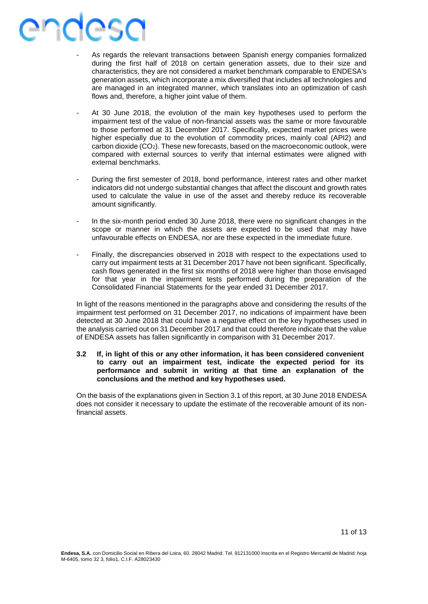# esa

- As regards the relevant transactions between Spanish energy companies formalized during the first half of 2018 on certain generation assets, due to their size and characteristics, they are not considered a market benchmark comparable to ENDESA's generation assets, which incorporate a mix diversified that includes all technologies and are managed in an integrated manner, which translates into an optimization of cash flows and, therefore, a higher joint value of them.
- At 30 June 2018, the evolution of the main key hypotheses used to perform the impairment test of the value of non-financial assets was the same or more favourable to those performed at 31 December 2017. Specifically, expected market prices were higher especially due to the evolution of commodity prices, mainly coal (API2) and carbon dioxide  $(CO_2)$ . These new forecasts, based on the macroeconomic outlook, were compared with external sources to verify that internal estimates were aligned with external benchmarks.
- During the first semester of 2018, bond performance, interest rates and other market indicators did not undergo substantial changes that affect the discount and growth rates used to calculate the value in use of the asset and thereby reduce its recoverable amount significantly.
- In the six-month period ended 30 June 2018, there were no significant changes in the scope or manner in which the assets are expected to be used that may have unfavourable effects on ENDESA, nor are these expected in the immediate future.
- Finally, the discrepancies observed in 2018 with respect to the expectations used to carry out impairment tests at 31 December 2017 have not been significant. Specifically, cash flows generated in the first six months of 2018 were higher than those envisaged for that year in the impairment tests performed during the preparation of the Consolidated Financial Statements for the year ended 31 December 2017.

In light of the reasons mentioned in the paragraphs above and considering the results of the impairment test performed on 31 December 2017, no indications of impairment have been detected at 30 June 2018 that could have a negative effect on the key hypotheses used in the analysis carried out on 31 December 2017 and that could therefore indicate that the value of ENDESA assets has fallen significantly in comparison with 31 December 2017.

#### **3.2 If, in light of this or any other information, it has been considered convenient to carry out an impairment test, indicate the expected period for its performance and submit in writing at that time an explanation of the conclusions and the method and key hypotheses used.**

On the basis of the explanations given in Section 3.1 of this report, at 30 June 2018 ENDESA does not consider it necessary to update the estimate of the recoverable amount of its nonfinancial assets.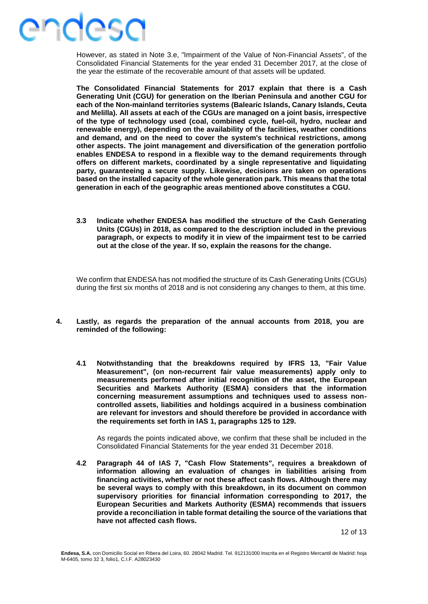### IASA

However, as stated in Note 3.e, "Impairment of the Value of Non-Financial Assets", of the Consolidated Financial Statements for the year ended 31 December 2017, at the close of the year the estimate of the recoverable amount of that assets will be updated.

**The Consolidated Financial Statements for 2017 explain that there is a Cash Generating Unit (CGU) for generation on the Iberian Peninsula and another CGU for each of the Non-mainland territories systems (Balearic Islands, Canary Islands, Ceuta and Melilla). All assets at each of the CGUs are managed on a joint basis, irrespective of the type of technology used (coal, combined cycle, fuel-oil, hydro, nuclear and renewable energy), depending on the availability of the facilities, weather conditions and demand, and on the need to cover the system's technical restrictions, among other aspects. The joint management and diversification of the generation portfolio enables ENDESA to respond in a flexible way to the demand requirements through offers on different markets, coordinated by a single representative and liquidating party, guaranteeing a secure supply. Likewise, decisions are taken on operations based on the installed capacity of the whole generation park. This means that the total generation in each of the geographic areas mentioned above constitutes a CGU.**

**3.3 Indicate whether ENDESA has modified the structure of the Cash Generating Units (CGUs) in 2018, as compared to the description included in the previous paragraph, or expects to modify it in view of the impairment test to be carried out at the close of the year. If so, explain the reasons for the change.**

We confirm that ENDESA has not modified the structure of its Cash Generating Units (CGUs) during the first six months of 2018 and is not considering any changes to them, at this time.

- **4. Lastly, as regards the preparation of the annual accounts from 2018, you are reminded of the following:**
	- **4.1 Notwithstanding that the breakdowns required by IFRS 13, "Fair Value Measurement", (on non-recurrent fair value measurements) apply only to measurements performed after initial recognition of the asset, the European Securities and Markets Authority (ESMA) considers that the information concerning measurement assumptions and techniques used to assess noncontrolled assets, liabilities and holdings acquired in a business combination are relevant for investors and should therefore be provided in accordance with the requirements set forth in IAS 1, paragraphs 125 to 129.**

As regards the points indicated above, we confirm that these shall be included in the Consolidated Financial Statements for the year ended 31 December 2018.

**4.2 Paragraph 44 of IAS 7, "Cash Flow Statements", requires a breakdown of information allowing an evaluation of changes in liabilities arising from financing activities, whether or not these affect cash flows. Although there may be several ways to comply with this breakdown, in its document on common supervisory priorities for financial information corresponding to 2017, the European Securities and Markets Authority (ESMA) recommends that issuers provide a reconciliation in table format detailing the source of the variations that have not affected cash flows.**

12 of 13